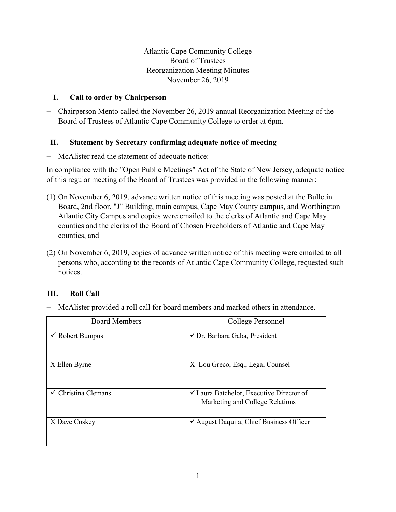Atlantic Cape Community College Board of Trustees Reorganization Meeting Minutes November 26, 2019

### **I. Call to order by Chairperson**

− Chairperson Mento called the November 26, 2019 annual Reorganization Meeting of the Board of Trustees of Atlantic Cape Community College to order at 6pm.

## **II. Statement by Secretary confirming adequate notice of meeting**

− McAlister read the statement of adequate notice:

In compliance with the "Open Public Meetings" Act of the State of New Jersey, adequate notice of this regular meeting of the Board of Trustees was provided in the following manner:

- (1) On November 6, 2019, advance written notice of this meeting was posted at the Bulletin Board, 2nd floor, "J" Building, main campus, Cape May County campus, and Worthington Atlantic City Campus and copies were emailed to the clerks of Atlantic and Cape May counties and the clerks of the Board of Chosen Freeholders of Atlantic and Cape May counties, and
- (2) On November 6, 2019, copies of advance written notice of this meeting were emailed to all persons who, according to the records of Atlantic Cape Community College, requested such notices.

# **III. Roll Call**

− McAlister provided a roll call for board members and marked others in attendance.

| <b>Board Members</b>       | College Personnel                                                                      |
|----------------------------|----------------------------------------------------------------------------------------|
| $\checkmark$ Robert Bumpus | √ Dr. Barbara Gaba, President                                                          |
| X Ellen Byrne              | X Lou Greco, Esq., Legal Counsel                                                       |
| Christina Clemans          | $\checkmark$ Laura Batchelor, Executive Director of<br>Marketing and College Relations |
| X Dave Coskey              | $\checkmark$ August Daquila, Chief Business Officer                                    |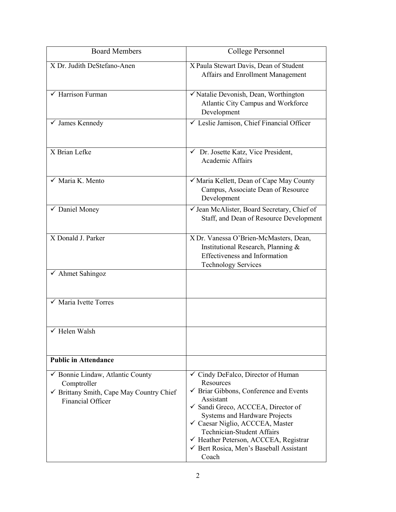| <b>Board Members</b>                                                                                                    | College Personnel                                                                                                                                                                                                                                                                                                                                                    |
|-------------------------------------------------------------------------------------------------------------------------|----------------------------------------------------------------------------------------------------------------------------------------------------------------------------------------------------------------------------------------------------------------------------------------------------------------------------------------------------------------------|
| X Dr. Judith DeStefano-Anen                                                                                             | X Paula Stewart Davis, Dean of Student<br>Affairs and Enrollment Management                                                                                                                                                                                                                                                                                          |
| $\sqrt{\frac{1}{2}}$ Harrison Furman                                                                                    | √ Natalie Devonish, Dean, Worthington<br>Atlantic City Campus and Workforce<br>Development                                                                                                                                                                                                                                                                           |
| $\checkmark$ James Kennedy                                                                                              | └ Leslie Jamison, Chief Financial Officer                                                                                                                                                                                                                                                                                                                            |
| X Brian Lefke                                                                                                           | ← Dr. Josette Katz, Vice President,<br>Academic Affairs                                                                                                                                                                                                                                                                                                              |
| $\sqrt{\phantom{a}}$ Maria K. Mento                                                                                     | √ Maria Kellett, Dean of Cape May County<br>Campus, Associate Dean of Resource<br>Development                                                                                                                                                                                                                                                                        |
| ✔ Daniel Money                                                                                                          | √ Jean McAlister, Board Secretary, Chief of<br>Staff, and Dean of Resource Development                                                                                                                                                                                                                                                                               |
| X Donald J. Parker                                                                                                      | X Dr. Vanessa O'Brien-McMasters, Dean,<br>Institutional Research, Planning &<br><b>Effectiveness and Information</b><br><b>Technology Services</b>                                                                                                                                                                                                                   |
| $\checkmark$ Ahmet Sahingoz                                                                                             |                                                                                                                                                                                                                                                                                                                                                                      |
| $\checkmark$ Maria Ivette Torres                                                                                        |                                                                                                                                                                                                                                                                                                                                                                      |
| $\checkmark$ Helen Walsh                                                                                                |                                                                                                                                                                                                                                                                                                                                                                      |
| <b>Public in Attendance</b>                                                                                             |                                                                                                                                                                                                                                                                                                                                                                      |
| ✔ Bonnie Lindaw, Atlantic County<br>Comptroller<br>✔ Brittany Smith, Cape May Country Chief<br><b>Financial Officer</b> | ✓ Cindy DeFalco, Director of Human<br>Resources<br>$\checkmark$ Briar Gibbons, Conference and Events<br>Assistant<br>√ Sandi Greco, ACCCEA, Director of<br><b>Systems and Hardware Projects</b><br>✓ Caesar Niglio, ACCCEA, Master<br><b>Technician-Student Affairs</b><br>← Heather Peterson, ACCCEA, Registrar<br>√ Bert Rosica, Men's Baseball Assistant<br>Coach |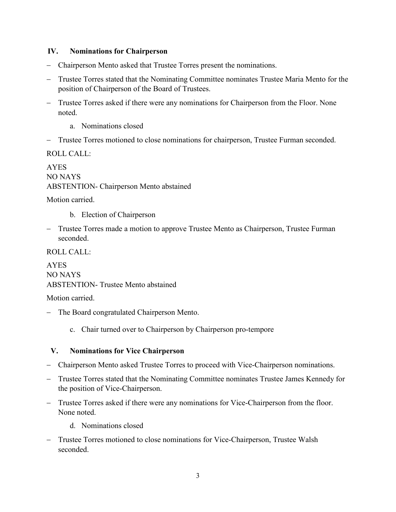#### **IV. Nominations for Chairperson**

- − Chairperson Mento asked that Trustee Torres present the nominations.
- Trustee Torres stated that the Nominating Committee nominates Trustee Maria Mento for the position of Chairperson of the Board of Trustees.
- − Trustee Torres asked if there were any nominations for Chairperson from the Floor. None noted.
	- a. Nominations closed
- − Trustee Torres motioned to close nominations for chairperson, Trustee Furman seconded.

ROLL CALL:

AYES NO NAYS ABSTENTION- Chairperson Mento abstained

Motion carried.

- b. Election of Chairperson
- − Trustee Torres made a motion to approve Trustee Mento as Chairperson, Trustee Furman seconded.

ROLL CALL:

AYES NO NAYS ABSTENTION- Trustee Mento abstained

Motion carried.

- − The Board congratulated Chairperson Mento.
	- c. Chair turned over to Chairperson by Chairperson pro-tempore

### **V. Nominations for Vice Chairperson**

- − Chairperson Mento asked Trustee Torres to proceed with Vice-Chairperson nominations.
- − Trustee Torres stated that the Nominating Committee nominates Trustee James Kennedy for the position of Vice-Chairperson.
- − Trustee Torres asked if there were any nominations for Vice-Chairperson from the floor. None noted.
	- d. Nominations closed
- − Trustee Torres motioned to close nominations for Vice-Chairperson, Trustee Walsh seconded.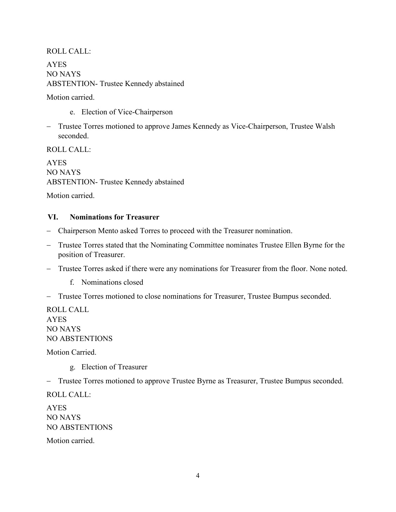#### ROLL CALL:

AYES NO NAYS ABSTENTION- Trustee Kennedy abstained

Motion carried.

- e. Election of Vice-Chairperson
- − Trustee Torres motioned to approve James Kennedy as Vice-Chairperson, Trustee Walsh seconded.

ROLL CALL:

AYES NO NAYS ABSTENTION- Trustee Kennedy abstained

Motion carried.

#### **VI. Nominations for Treasurer**

- − Chairperson Mento asked Torres to proceed with the Treasurer nomination.
- Trustee Torres stated that the Nominating Committee nominates Trustee Ellen Byrne for the position of Treasurer.
- − Trustee Torres asked if there were any nominations for Treasurer from the floor. None noted.
	- f. Nominations closed
- − Trustee Torres motioned to close nominations for Treasurer, Trustee Bumpus seconded.

ROLL CALL AYES NO NAYS NO ABSTENTIONS

Motion Carried.

g. Election of Treasurer

− Trustee Torres motioned to approve Trustee Byrne as Treasurer, Trustee Bumpus seconded.

ROLL CALL:

AYES NO NAYS NO ABSTENTIONS

Motion carried.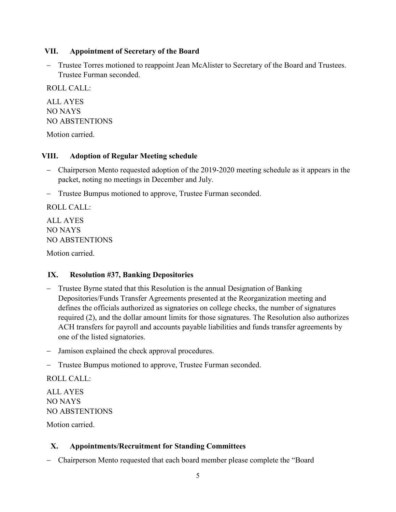### **VII. Appointment of Secretary of the Board**

− Trustee Torres motioned to reappoint Jean McAlister to Secretary of the Board and Trustees. Trustee Furman seconded.

ROLL CALL:

ALL AYES NO NAYS NO ABSTENTIONS

Motion carried.

#### **VIII. Adoption of Regular Meeting schedule**

- − Chairperson Mento requested adoption of the 2019-2020 meeting schedule as it appears in the packet, noting no meetings in December and July.
- − Trustee Bumpus motioned to approve, Trustee Furman seconded.

ROLL CALL: ALL AYES

NO NAYS NO ABSTENTIONS

Motion carried.

### **IX. Resolution #37, Banking Depositories**

- − Trustee Byrne stated that this Resolution is the annual Designation of Banking Depositories/Funds Transfer Agreements presented at the Reorganization meeting and defines the officials authorized as signatories on college checks, the number of signatures required (2), and the dollar amount limits for those signatures. The Resolution also authorizes ACH transfers for payroll and accounts payable liabilities and funds transfer agreements by one of the listed signatories.
- − Jamison explained the check approval procedures.
- Trustee Bumpus motioned to approve, Trustee Furman seconded.

ROLL CALL:

ALL AYES NO NAYS NO ABSTENTIONS

Motion carried.

### **X. Appointments/Recruitment for Standing Committees**

− Chairperson Mento requested that each board member please complete the "Board